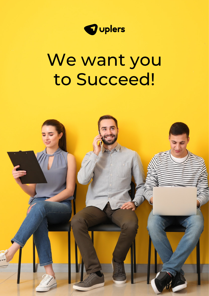

# We want you to Succeed!

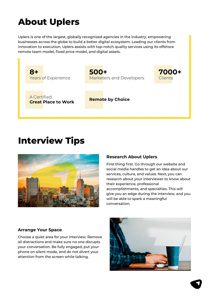## **About Uplers**

Uplers is one of the largest, globally recognized agencies in the industry, empowering businesses across the globe to build a better digital ecosystem. Leading our clients from innovation to execution, Uplers assists with top-notch quality services using its offshore remote team model, fixed price model, and digital assets.



### **Interview Tips**



#### **Research About Uplers**

First thing first. Go through our website and social media handles to get an idea about our services, culture, and values. Next, you can research about your interviewer to know about their experience, professional accomplishments, and specialties. This will give you an edge during the interview, and you will be able to spark a meaningful conversation.

#### **Arrange Your Space**

Choose a quiet area for your interview. Remove all distractions and make sure no one disrupts your conversation. Be fully engaged, put your phone on silent mode, and do not divert your attention from the screen while talking.

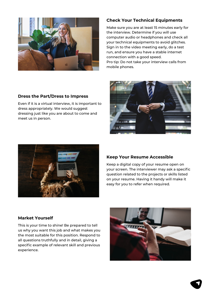

#### **Check Your Technical Equipments**

Make sure you are at least 15 minutes early for the interview. Determine if you will use computer audio or headphones and check all your technical equipments to avoid glitches. Sign in to the video meeting early, do a test run, and ensure you have a stable internet connection with a good speed. Pro tip: Do not take your interview calls from mobile phones.

#### **Dress the Part/Dress to Impress**

Even if it is a virtual interview, it is important to dress appropriately. We would suggest dressing just like you are about to come and meet us in person.





#### **Keep Your Resume Accessible**

Keep a digital copy of your resume open on your screen. The interviewer may ask a specific question related to the projects or skills listed on your resume. Having it handy will make it easy for you to refer when required.

#### **Market Yourself**

This is your time to shine! Be prepared to tell us why you want this job and what makes you the most suitable for this position. Respond to all questions truthfully and in detail, giving a specific example of relevant skill and previous experience.

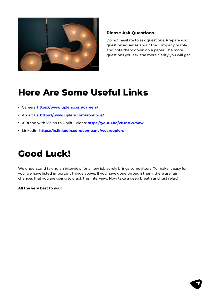

#### **Please Ask Questions**

Do not hesitate to ask questions. Prepare your questions/queries about the company or role and note them down on a paper. The more questions you ask, the more clarity you will get.

### **Here Are Some Useful Links**

- Careers: **https://www.uplers.com/careers/**
- About Us: **https://www.uplers.com/about-us/**
- A Brand with Vision to Uplift Video: **https://youtu.be/vfOntGs75ow**
- LinkedIn: **https://in.linkedin.com/company/weareuplers**

### **Good Luck!**

We understand taking an interview for a new job surely brings some jitters. To make it easy for you, we have listed important things above. If you have gone through them, there are fair chances that you are going to crack this interview. Now take a deep breath and just relax!

**All the very best to you!**